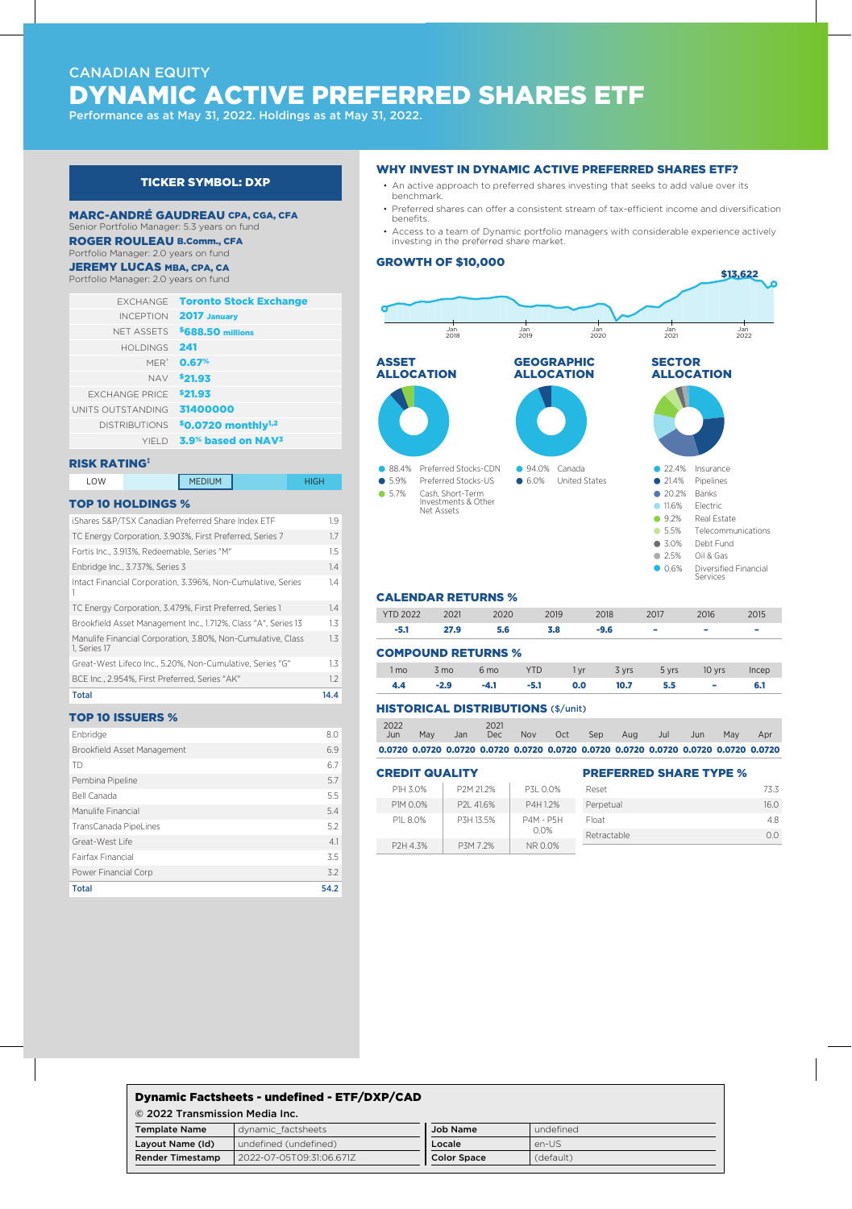# CANADIAN EQUITY DYNAMIC ACTIVE PREFERRED SHARES ETF

Performance as at May 31, 2022. Holdings as at May 31, 2022.

# TICKER SYMBOL: DXP

#### MARC-ANDRÉ GAUDREAU CPA, CGA, CFA Senior Portfolio Manager: 5.3 years on fund

ROGER ROULEAU B.Comm., CFA

# Portfolio Manager: 2.0 years on fund

**JEREMY LUCAS MBA, CPA, CA** 

Portfolio Manager: 2.0 years on fund

|                       | <b>EXCHANGE</b> Toronto Stock Exchange           |
|-----------------------|--------------------------------------------------|
| <b>INCEPTION</b>      | 2017 January                                     |
| NFT ASSETS            | \$688.50 millions                                |
| <b>HOI DINGS</b>      | 241                                              |
| MFR <sup>+</sup>      | 0.67%                                            |
| <b>NAV</b>            | \$21.93                                          |
| <b>FXCHANGE PRICE</b> | \$21.93                                          |
| UNITS OUTSTANDING     | 31400000                                         |
| <b>DISTRIBUTIONS</b>  | \$0.0720 monthly <sup>1,2</sup>                  |
|                       | YIFLD 3.9 <sup>%</sup> based on NAV <sup>3</sup> |

#### RISK RATING‡

LOW MEDIUM HIGH

## TOP 10 HOLDINGS %

| iShares S&P/TSX Canadian Preferred Share Index ETF                           | 1.9              |
|------------------------------------------------------------------------------|------------------|
| TC Energy Corporation, 3.903%, First Preferred, Series 7                     | 1.7              |
| Fortis Inc., 3.913%. Redeemable. Series "M"                                  | 1.5              |
| Enbridge Inc., 3.737%, Series 3                                              | 14               |
| Intact Financial Corporation, 3.396%, Non-Cumulative, Series                 | 1.4              |
| TC Energy Corporation, 3.479%, First Preferred, Series 1                     | 14               |
| Brookfield Asset Management Inc., 1.712%, Class "A", Series 13               | 1.3              |
| Manulife Financial Corporation, 3.80%, Non-Cumulative, Class<br>1. Series 17 | 1.3              |
| Great-West Lifeco Inc., 5.20%. Non-Cumulative. Series "G"                    | $1.3\phantom{0}$ |
| BCE Inc., 2.954%, First Preferred, Series "AK"                               | 1.2              |
| Total                                                                        | 14.4             |
|                                                                              |                  |

# TOP 10 ISSUERS %

| <b>Total</b>                | 54.2 |
|-----------------------------|------|
| Power Financial Corp        | 3.2  |
| Fairfax Financial           | 3.5  |
| Great-West Life             | 4.1  |
| TransCanada PipeLines       | 5.2  |
| Manulife Financial          | 5.4  |
| Bell Canada                 | 5.5  |
| Pembina Pipeline            | 5.7  |
| <b>TD</b>                   | 6.7  |
| Brookfield Asset Management | 6.9  |
| Enbridge                    | 8.0  |
|                             |      |

#### WHY INVEST IN DYNAMIC ACTIVE PREFERRED SHARES ETF?

- An active approach to preferred shares investing that seeks to add value over its benchmark.
- Preferred shares can offer a consistent stream of tax-efficient income and diversification benefits.
- Access to a team of Dynamic portfolio managers with considerable experience actively investing in the preferred share market.

#### GROWTH OF \$10,000



## CALENDAR RETURNS %

| <b>YTD 2022</b>           | 2021 | 2020            | 2019 | 2018 | 2017  | 2016            | 2015  |
|---------------------------|------|-----------------|------|------|-------|-----------------|-------|
| $-5.1$                    | 27.9 | 5.6             | 3.8  | -9.6 | ۰     | -               | -     |
| <b>COMPOUND RETURNS %</b> |      |                 |      |      |       |                 |       |
| l mo                      | 3 mo | 6 <sub>mo</sub> | YTD  | i vr | 3 yrs | 10 vrs<br>5 yrs | Incep |

# 4.4 -2.9 -4.1 -5.1 0.0 10.7 5.5 – 6.1

| <b>HISTORICAL DISTRIBUTIONS (\$/unit)</b> |  |
|-------------------------------------------|--|

| 2022<br>Jun. | May | Jan | 2021<br>Dec - | <b>Nov</b> | Oct | <b>Sep</b> | Aug                                                                                 | Jul | Jun | May | Apr |
|--------------|-----|-----|---------------|------------|-----|------------|-------------------------------------------------------------------------------------|-----|-----|-----|-----|
|              |     |     |               |            |     |            | 0.0720 0.0720 0.0720 0.0720 0.0720 0.0720 0.0720 0.0720 0.0720 0.0720 0.0720 0.0720 |     |     |     |     |

**DDEEEDDEN CHADE TYDE %** 

## CREDIT QUALITY

| ----------------- |            |                  | ------------------------- |      |
|-------------------|------------|------------------|---------------------------|------|
| P1H 3.0%          | P2M 21.2%  | P3L 0.0%         | Reset                     | 73.3 |
| P1M 0.0%          | P2I 41.6%  | P4H 1.2%         | Perpetual                 | 16.0 |
| P1I 8.0%          | P.3H 13.5% | <b>P4M - P5H</b> | Float                     | 4.8  |
|                   |            | $0.0\%$          | Retractable               | 0.0  |
| P2H 4.3%          | P3M 7.2%   | NR 0.0%          |                           |      |